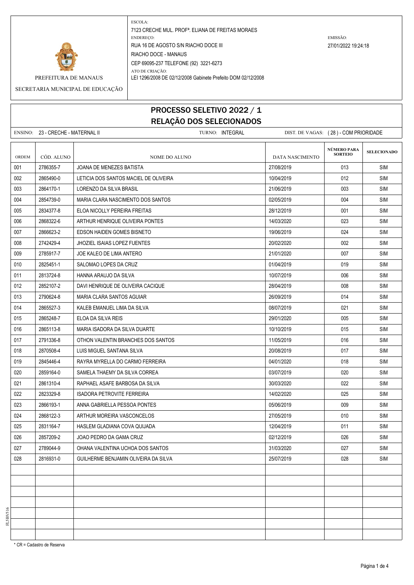

PREFEITURA DE MANAUS LEI 1296/2008 DE 02/12/2008 Gabinete Prefeito DOM 02/12/2008

SECRETARIA MUNICIPAL DE EDUCAÇÃO

## PROCESSO SELETIVO 2022 / 1 RELAÇÃO DOS SELECIONADOS

|              | ENSINO: 23 - CRECHE - MATERNAL II |                                       | TURNO: INTEGRAL |                 | DIST. DE VAGAS: (28) - COM PRIORIDADE |                    |
|--------------|-----------------------------------|---------------------------------------|-----------------|-----------------|---------------------------------------|--------------------|
| <b>ORDEM</b> | CÓD. ALUNO                        | <b>NOME DO ALUNO</b>                  |                 | DATA NASCIMENTO | NÚMERO PARA<br><b>SORTEIO</b>         | <b>SELECIONADO</b> |
| 001          | 2786355-7                         | JOANA DE MENEZES BATISTA              |                 | 27/08/2019      | 013                                   | <b>SIM</b>         |
| 002          | 2865490-0                         | LETICIA DOS SANTOS MACIEL DE OLIVEIRA |                 | 10/04/2019      | 012                                   | <b>SIM</b>         |
| 003          | 2864170-1                         | LORENZO DA SILVA BRASIL               |                 | 21/06/2019      | 003                                   | <b>SIM</b>         |
| 004          | 2854739-0                         | MARIA CLARA NASCIMENTO DOS SANTOS     |                 | 02/05/2019      | 004                                   | <b>SIM</b>         |
| 005          | 2834377-8                         | ELOA NICOLLY PEREIRA FREITAS          |                 | 28/12/2019      | 001                                   | <b>SIM</b>         |
| 006          | 2868322-6                         | ARTHUR HENRIQUE OLIVEIRA PONTES       |                 | 14/03/2020      | 023                                   | <b>SIM</b>         |
| 007          | 2866623-2                         | EDSON HAIDEN GOMES BISNETO            |                 | 19/06/2019      | 024                                   | <b>SIM</b>         |
| 008          | 2742429-4                         | JHOZIEL ISAIAS LOPEZ FUENTES          |                 | 20/02/2020      | 002                                   | <b>SIM</b>         |
| 009          | 2785917-7                         | JOE KALEO DE LIMA ANTERO              |                 | 21/01/2020      | 007                                   | <b>SIM</b>         |
| 010          | 2825451-1                         | SALOMAO LOPES DA CRUZ                 |                 | 01/04/2019      | 019                                   | <b>SIM</b>         |
| 011          | 2813724-8                         | HANNA ARAUJO DA SILVA                 |                 | 10/07/2019      | 006                                   | <b>SIM</b>         |
| 012          | 2852107-2                         | DAVI HENRIQUE DE OLIVEIRA CACIQUE     |                 | 28/04/2019      | 008                                   | <b>SIM</b>         |
| 013          | 2790624-8                         | MARIA CLARA SANTOS AGUIAR             |                 | 26/09/2019      | 014                                   | <b>SIM</b>         |
| 014          | 2865527-3                         | KALEB EMANUEL LIMA DA SILVA           |                 | 08/07/2019      | 021                                   | <b>SIM</b>         |
| 015          | 2865248-7                         | ELOA DA SILVA REIS                    |                 | 29/01/2020      | 005                                   | <b>SIM</b>         |
| 016          | 2865113-8                         | MARIA ISADORA DA SILVA DUARTE         |                 | 10/10/2019      | 015                                   | <b>SIM</b>         |
| 017          | 2791336-8                         | OTHON VALENTIN BRANCHES DOS SANTOS    |                 | 11/05/2019      | 016                                   | <b>SIM</b>         |
| 018          | 2870508-4                         | LUIS MIGUEL SANTANA SILVA             |                 | 20/08/2019      | 017                                   | <b>SIM</b>         |
| 019          | 2845446-4                         | RAYRA MYRELLA DO CARMO FERREIRA       |                 | 04/01/2020      | 018                                   | <b>SIM</b>         |
| 020          | 2859164-0                         | SAMELA THAEMY DA SILVA CORREA         |                 | 03/07/2019      | 020                                   | <b>SIM</b>         |
| 021          | 2861310-4                         | RAPHAEL ASAFE BARBOSA DA SILVA        |                 | 30/03/2020      | 022                                   | <b>SIM</b>         |
| 022          | 2823329-8                         | <b>ISADORA PETROVITE FERREIRA</b>     |                 | 14/02/2020      | 025                                   | <b>SIM</b>         |
| 023          | 2866193-1                         | ANNA GABRIELLA PESSOA PONTES          |                 | 05/06/2019      | 009                                   | <b>SIM</b>         |
| 024          | 2868122-3                         | ARTHUR MOREIRA VASCONCELOS            |                 | 27/05/2019      | 010                                   | <b>SIM</b>         |
| 025          | 2831164-7                         | HASLEM GLADIANA COVA QUIJADA          |                 | 12/04/2019      | 011                                   | <b>SIM</b>         |
| 026          | 2857209-2                         | JOAO PEDRO DA GAMA CRUZ               |                 | 02/12/2019      | 026                                   | <b>SIM</b>         |
| 027          | 2789044-9                         | OHANA VALENTINA UCHOA DOS SANTOS      |                 | 31/03/2020      | 027                                   | SIM                |
| 028          | 2816931-0                         | GUILHERME BENJAMIN OLIVEIRA DA SILVA  |                 | 25/07/2019      | 028                                   | SIM                |
|              |                                   |                                       |                 |                 |                                       |                    |
|              |                                   |                                       |                 |                 |                                       |                    |
|              |                                   |                                       |                 |                 |                                       |                    |
|              |                                   |                                       |                 |                 |                                       |                    |
|              |                                   |                                       |                 |                 |                                       |                    |
|              |                                   |                                       |                 |                 |                                       |                    |
|              |                                   |                                       |                 |                 |                                       |                    |

\* CR = Cadastro de Reserva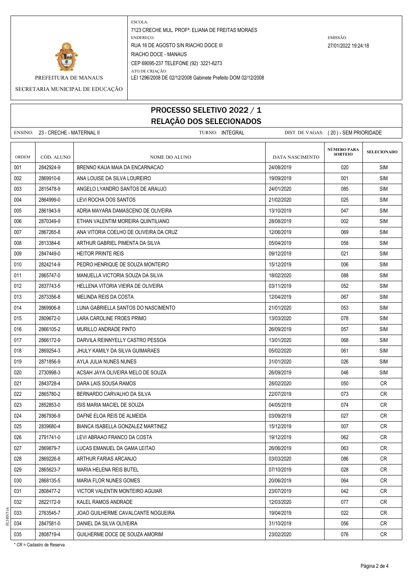

PREFEITURA DE MANAUS LEI 1296/2008 DE 02/12/2008 Gabinete Prefeito DOM 02/12/2008

SECRETARIA MUNICIPAL DE EDUCAÇÃO

## PROCESSO SELETIVO 2022 / 1 RELAÇÃO DOS SELECIONADOS

ENSINO: 23 - CRECHE - MATERNAL II TURNO: INTEGRAL DIST. DE VAGAS: ( 20 ) - SEM PRIORIDADE **SELECIONADO** ORDEM CÓD. ALUNO **NOME DO ALUNO** NOME DO ALUNO DATA NASCIMENTO 001 2842924-9 BRENNO KAUA MAIA DA ENCARNACAO 24/08/2019 020 SIM 002 2869910-6 ANA LOUISE DA SILVA LOUREIRO 19/09/2019 19/09/2019 19/09/2019 19/09 003 2815478-9 ANGELO LYANDRO SANTOS DE ARAUJO 24/01/2020 | 085 | SIM 004 2864999-0 LEVI ROCHA DOS SANTOS 21/02/2020 21/02/2020 205 SIM 005 2861943-9 ADRIA MAYARA DAMASCENO DE OLIVEIRA 13/10/2019 | 13/10/2019 | 047 SIM 006 2870349-9 ETHAN VALENTIM MOREIRA QUINTILIANO 28/08/2019 002 SIM 007 2867265-8 ANA VITORIA COELHO DE OLIVEIRA DA CRUZ 12/06/2019 069 SIM 008 2813384-6 ARTHUR GABRIEL PIMENTA DA SILVA 05/04/2019 058 SIM 009 2847449-0 HEITOR PRINTE REIS 09/12/2019 021 SIM 010 2824214-9 PEDRO HENRIQUE DE SOUZA MONTEIRO 15000 15/12/2019 15/12/2019 006 SIM 011 2865747-0 MANUELLA VICTORIA SOUZA DA SILVA 18/02/2020 088 SIM 012 2837743-5 HELLENA VITORIA VIEIRA DE OLIVEIRA 03/11/2019 052 SIM 013 2873356-8 MELINDA REIS DA COSTA 1204/2019 2012/04/2019 067 SIM 014 2869906-8 LUNA GABRIELLA SANTOS DO NASCIMENTO 21/01/2020 21/01/2020 953 SIM 015 2809672-0 LARA CAROLINE FROES PRIMO 13 . 2003/200 13/03/2020 28 . SIM 016 2866105-2 MURILLO ANDRADE PINTO 26/09/2019 057 SIM 017 2866172-9 DARVILA REINNYELLY CASTRO PESSOA 13/01/2020 13/01/2020 968 SIM 018 2869254-3 JHULY KAMILY DA SILVA GUIMARAES 05/02/2020 061 SIM 019 2871856-9 AYLA JULIA NUNES NUNES 31/01/2020 31/01/2020 937.031/2020 937.031/2020 020 2730998-3 ACSAH JAYA OLIVEIRA MELO DE SOUZA 26/09/2019 046 SIM 021 2843728-4 DARA LAIS SOUSA RAMOS 28/02/2020 28/02/2020 28/02/2020 28:02 022 2865780-2 BERNARDO CARVALHO DA SILVA 22 22/07/2019 22/07/2019 2013 073 CR 023 2852853-0 ISIS MARIA MACIEL DE SOUZA 04/05/2019 CR 024 2867936-9 DAFNE ELOA REIS DE ALMEIDA 03/09/2019 027 CR 025 2839680-4 BIANCA ISABELLA GONZALEZ MARTINEZ 15.12.12.13.13.12.15/12/2019 15/12/2019 15/12 026 2791741-0 LEVI ABRAAO FRANCO DA COSTA 1972 - 1972/2019 1972/2019 - 1972/2019 1982 CR 027 2869879-7 LUCAS EMANUEL DA GAMA LEITAO 26/06/2019 26/06/2019 26/06/2019 26/063 CR 028 2869226-8 ARTHUR FARIAS ARCANJO 03/03/2020 086 CR 029 2865623-7 MARIA HELENA REIS BUTEL 07/10/2019 028 CR 030 2868135-5 MARIA FLOR NUNES GOMES 2006/2019 20/06/2019 20/06/2019 20:064 CR 031 2808477-2 VICTOR VALENTIN MONTEIRO AGUIAR 23/07/2019 23/07/2019 19:042 CR 032 2822172-9 KALEL RAMOS ANDRADE 12/03/2020 12/03/2020 9 077 CR 033 2763545-7 J JOAO GUILHERME CAVALCANTE NOGUEIRA 19/04/2019 CR 034 2847581-0 DANIEL DA SILVA OLIVEIRA 31/10/2019 | 31/10/2019 | 056 | CR 035 2808719-4 GUILHERME DOCE DE SOUZA AMORIM 23/02/2020 076 CR **NÚMERO PARA SORTEIO**

\* CR = Cadastro de Reserva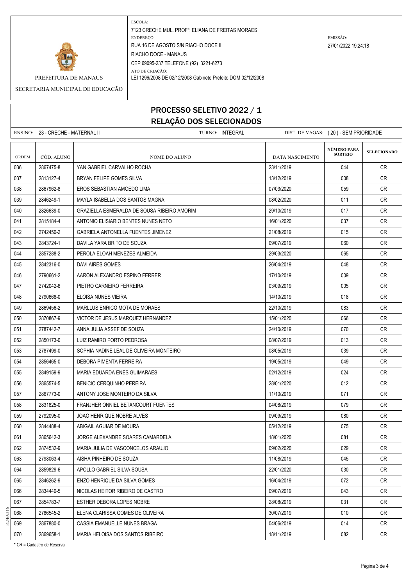

PREFEITURA DE MANAUS LEI 1296/2008 DE 02/12/2008 Gabinete Prefeito DOM 02/12/2008

SECRETARIA MUNICIPAL DE EDUCAÇÃO

## PROCESSO SELETIVO 2022 / 1 RELAÇÃO DOS SELECIONADOS

ENSINO: 23 - CRECHE - MATERNAL II TURNO: INTEGRAL DIST. DE VAGAS: ( 20 ) - SEM PRIORIDADE **SELECIONADO** ORDEM CÓD. ALUNO **NOME DO ALUNO** NOME DO ALUNO DATA NASCIMENTO 036 2867475-8 YAN GABRIEL CARVALHO ROCHA 23/11/2019 044 CR 037 2813127-4 BRYAN FELIPE GOMES SILVA 13/12 13/12/2019 13/12/2019 008 CR 038 2867962-8 EROS SEBASTIAN AMOEDO LIMA 07/03/2020 059 CR 039 2846249-1 MAYLA ISABELLA DOS SANTOS MAGNA 08/02/2020 011 CR 040 2826639-0 GRAZIELLA ESMERALDA DE SOUSA RIBEIRO AMORIM 29/10/2019 017 CR 041 2815184-4 ANTONIO ELISIARIO BENTES NUNES NETO 16/01/2020 16/01/2020 16/01/2020 2015 16/01/2020 042 2742450-2 GABRIELA ANTONELLA FUENTES JIMENEZ 21/08/2019 015 CR 043 2843724-1 DAVILA YARA BRITO DE SOUZA 09/07/2019 060 CR 044 2857288-2 PEROLA ELOAH MENEZES ALMEIDA 29/03/2020 2003/2020 257288-2 CR 045 2842316-0 DAVI AIRES GOMES 26/04/2019 048 CR 046 2790661-2 AARON ALEXANDRO ESPINO FERRER 1990 1991 17/10/2019 17/10/2019 1990 CR 047 2742042-6 PIETRO CARNEIRO FERREIRA 03/09/2019 005 CR 048 2790668-0 ELOISA NUNES VIEIRA 14/10/2019 | 018 | CR 049 2869456-2 MARLLUS ENRICO MOTA DE MORAES 22/10/2019 083 CR 050 2870867-9 VICTOR DE JESUS MARQUEZ HERNANDEZ 15/01/2020 066 CR 051 2787442-7 ANNA JULIA ASSEF DE SOUZA 24/10/2019 CR 052 2850173-0 LUIZ RAMIRO PORTO PEDROSA 08/07/2019 013 CR 053 2787499-0 SOPHIA NADINE LEAL DE OLIVEIRA MONTEIRO 08/05/2019 CR 054 2856465-0 DEBORA PIMENTA FERREIRA 1970 - 19705/2019 19705/2019 - 1970 - 1981 - 1970 055 2849159-9 | MARIA EDUARDA ENES GUIMARAES | 02/12/2019 | 02/12/2019 | 024 | CR 056 2865574-5 BENICIO CERQUINHO PEREIRA 28/01/2020 28/01/2020 28/01/2020 28/01/2020 057 2867773-0 ANTONY JOSE MONTEIRO DA SILVA 11/10 11/10/2019 11/110/2019 071 CR 058 2831825-0 FRANJHER ONNIEL BETANCOURT FUENTES 079 CR 059 2792095-0 JOAO HENRIQUE NOBRE ALVES 09/09/2019 080 CR 060 2844488-4 ABIGAIL AGUIAR DE MOURA 05/12/2019 075 CR 061 2865642-3 JORGE ALEXANDRE SOARES CAMARDELA 18/01/2020 18/01/2020 981 CR 062 2874532-9 MARIA JULIA DE VASCONCELOS ARAUJO 09/02/2020 029 CR 063 2798063-4 AISHA PINHEIRO DE SOUZA 11/08/2019 CR 064 2859829-6 APOLLO GABRIEL SILVA SOUSA 22/01/2020 030 CR 065 2846262-9 ENZO HENRIQUE DA SILVA GOMES 16/04/2019 CR 066 2834440-5 NICOLAS HEITOR RIBEIRO DE CASTRO 09/07/2019 CR 067 2854783-7 ESTHER DEBORA LOPES NOBRE 28/08/2019 28/08/2019 28/08/2019 28/08 068 2786545-2 ELENA CLARISSA GOMES DE OLIVEIRA 30/07/2019 010 CR 069 2867880-0 CASSIA EMANUELLE NUNES BRAGA 04/06/2019 014 CR 070 2869658-1 MARIA HELOISA DOS SANTOS RIBEIRO 18/11/2019 082 CR **NÚMERO PARA SORTEIO**

\* CR = Cadastro de Reserva